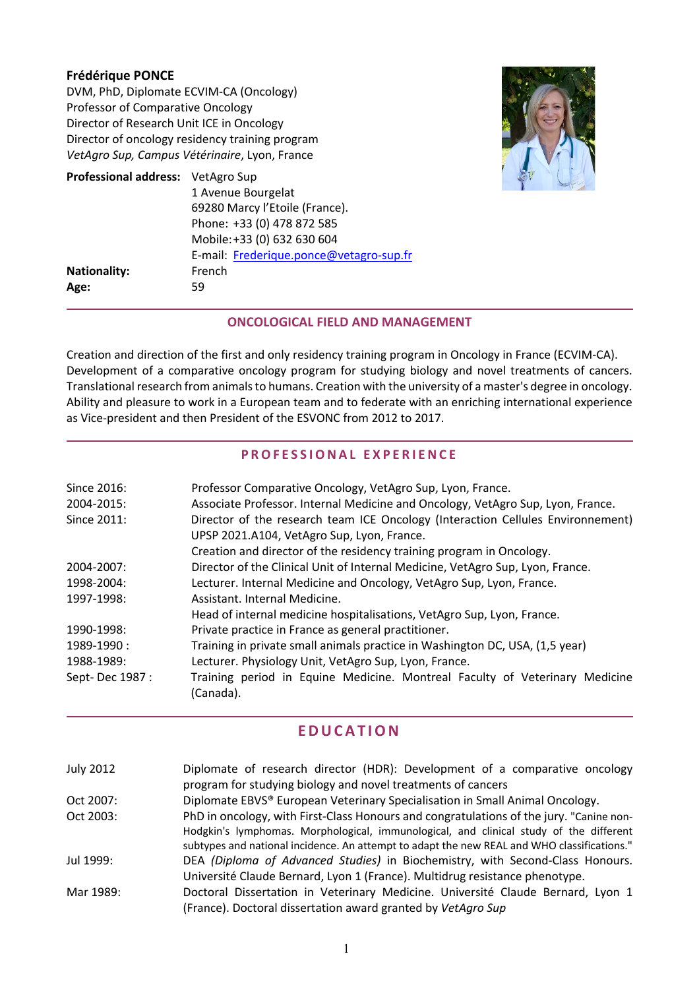### **Frédérique PONCE**

DVM, PhD, Diplomate ECVIM-CA (Oncology) Professor of Comparative Oncology Director of Research Unit ICE in Oncology Director of oncology residency training program *VetAgro Sup, Campus Vétérinaire*, Lyon, France

| Professional address: VetAgro Sup |                                         |
|-----------------------------------|-----------------------------------------|
|                                   | 1 Avenue Bourgelat                      |
|                                   | 69280 Marcy l'Etoile (France).          |
|                                   | Phone: +33 (0) 478 872 585              |
|                                   | Mobile: +33 (0) 632 630 604             |
|                                   | E-mail: Frederique.ponce@vetagro-sup.fr |
| <b>Nationality:</b>               | French                                  |
| Age:                              | 59                                      |



### **ONCOLOGICAL FIELD AND MANAGEMENT**

Creation and direction of the first and only residency training program in Oncology in France (ECVIM-CA). Development of a comparative oncology program for studying biology and novel treatments of cancers. Translational research from animals to humans. Creation with the university of a master's degree in oncology. Ability and pleasure to work in a European team and to federate with an enriching international experience as Vice-president and then President of the ESVONC from 2012 to 2017.

### **PROFESSIONAL EXPERIENCE**

| Since 2016:     | Professor Comparative Oncology, VetAgro Sup, Lyon, France.                      |
|-----------------|---------------------------------------------------------------------------------|
| 2004-2015:      | Associate Professor. Internal Medicine and Oncology, VetAgro Sup, Lyon, France. |
| Since 2011:     | Director of the research team ICE Oncology (Interaction Cellules Environnement) |
|                 | UPSP 2021.A104, VetAgro Sup, Lyon, France.                                      |
|                 | Creation and director of the residency training program in Oncology.            |
| 2004-2007:      | Director of the Clinical Unit of Internal Medicine, VetAgro Sup, Lyon, France.  |
| 1998-2004:      | Lecturer. Internal Medicine and Oncology, VetAgro Sup, Lyon, France.            |
| 1997-1998:      | Assistant, Internal Medicine.                                                   |
|                 | Head of internal medicine hospitalisations, VetAgro Sup, Lyon, France.          |
| 1990-1998:      | Private practice in France as general practitioner.                             |
| 1989-1990:      | Training in private small animals practice in Washington DC, USA, (1,5 year)    |
| 1988-1989:      | Lecturer. Physiology Unit, VetAgro Sup, Lyon, France.                           |
| Sept-Dec 1987 : | Training period in Equine Medicine. Montreal Faculty of Veterinary Medicine     |
|                 | (Canada).                                                                       |

# **EDUCATION**

| <b>July 2012</b> | Diplomate of research director (HDR): Development of a comparative oncology                 |
|------------------|---------------------------------------------------------------------------------------------|
|                  | program for studying biology and novel treatments of cancers                                |
| Oct 2007:        | Diplomate EBVS® European Veterinary Specialisation in Small Animal Oncology.                |
| Oct 2003:        | PhD in oncology, with First-Class Honours and congratulations of the jury. "Canine non-     |
|                  | Hodgkin's lymphomas. Morphological, immunological, and clinical study of the different      |
|                  | subtypes and national incidence. An attempt to adapt the new REAL and WHO classifications." |
| Jul 1999:        | DEA (Diploma of Advanced Studies) in Biochemistry, with Second-Class Honours.               |
|                  | Université Claude Bernard, Lyon 1 (France). Multidrug resistance phenotype.                 |
| Mar 1989:        | Doctoral Dissertation in Veterinary Medicine. Université Claude Bernard, Lyon 1             |
|                  | (France). Doctoral dissertation award granted by VetAgro Sup                                |